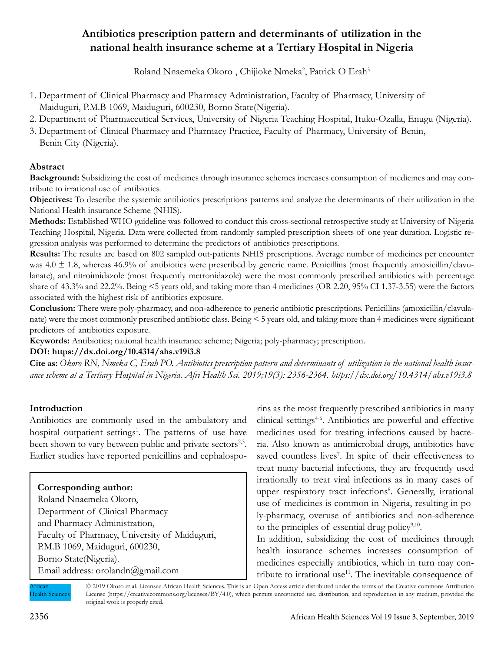# **Antibiotics prescription pattern and determinants of utilization in the national health insurance scheme at a Tertiary Hospital in Nigeria**

Roland Nnaemeka Okoro<sup>1</sup>, Chijioke Nmeka<sup>2</sup>, Patrick O Erah<sup>3</sup>

- 1. Department of Clinical Pharmacy and Pharmacy Administration, Faculty of Pharmacy, University of Maiduguri, P.M.B 1069, Maiduguri, 600230, Borno State(Nigeria).
- 2. Department of Pharmaceutical Services, University of Nigeria Teaching Hospital, Ituku-Ozalla, Enugu (Nigeria).
- 3. Department of Clinical Pharmacy and Pharmacy Practice, Faculty of Pharmacy, University of Benin, Benin City (Nigeria).

# **Abstract**

**Background:** Subsidizing the cost of medicines through insurance schemes increases consumption of medicines and may contribute to irrational use of antibiotics.

**Objectives:** To describe the systemic antibiotics prescriptions patterns and analyze the determinants of their utilization in the National Health insurance Scheme (NHIS).

**Methods:** Established WHO guideline was followed to conduct this cross-sectional retrospective study at University of Nigeria Teaching Hospital, Nigeria. Data were collected from randomly sampled prescription sheets of one year duration. Logistic regression analysis was performed to determine the predictors of antibiotics prescriptions.

**Results:** The results are based on 802 sampled out-patients NHIS prescriptions. Average number of medicines per encounter was  $4.0 \pm 1.8$ , whereas  $46.9\%$  of antibiotics were prescribed by generic name. Penicillins (most frequently amoxicillin/clavulanate), and nitroimidazole (most frequently metronidazole) were the most commonly prescribed antibiotics with percentage share of 43.3% and 22.2%. Being <5 years old, and taking more than 4 medicines (OR 2.20, 95% CI 1.37-3.55) were the factors associated with the highest risk of antibiotics exposure.

**Conclusion:** There were poly-pharmacy, and non-adherence to generic antibiotic prescriptions. Penicillins (amoxicillin/clavulanate) were the most commonly prescribed antibiotic class. Being < 5 years old, and taking more than 4 medicines were significant predictors of antibiotics exposure.

**Keywords:** Antibiotics; national health insurance scheme; Nigeria; poly-pharmacy; prescription.

#### **DOI: https://dx.doi.org/10.4314/ahs.v19i3.8**

**Cite as:** *Okoro RN, Nmeka C, Erah PO. Antibiotics prescription pattern and determinants of utilization in the national health insurance scheme at a Tertiary Hospital in Nigeria. Afri Health Sci. 2019;19(3): 2356-2364. https://dx.doi.org/10.4314/ahs.v19i3.8*

## **Introduction**

Antibiotics are commonly used in the ambulatory and hospital outpatient settings<sup>1</sup>. The patterns of use have been shown to vary between public and private sectors<sup>2,3</sup>. Earlier studies have reported penicillins and cephalospo-

## **Corresponding author:**

Roland Nnaemeka Okoro, Department of Clinical Pharmacy and Pharmacy Administration, Faculty of Pharmacy, University of Maiduguri, P.M.B 1069, Maiduguri, 600230, Borno State(Nigeria). Email address: orolandn@gmail.com

rins as the most frequently prescribed antibiotics in many clinical settings<sup>46</sup>. Antibiotics are powerful and effective medicines used for treating infections caused by bacteria. Also known as antimicrobial drugs, antibiotics have saved countless lives<sup>7</sup>. In spite of their effectiveness to treat many bacterial infections, they are frequently used irrationally to treat viral infections as in many cases of upper respiratory tract infections<sup>8</sup>. Generally, irrational use of medicines is common in Nigeria, resulting in poly-pharmacy, overuse of antibiotics and non-adherence to the principles of essential drug policy $9,10$ .

In addition, subsidizing the cost of medicines through health insurance schemes increases consumption of medicines especially antibiotics, which in turn may contribute to irrational use<sup>11</sup>. The inevitable consequence of

African Health Sciences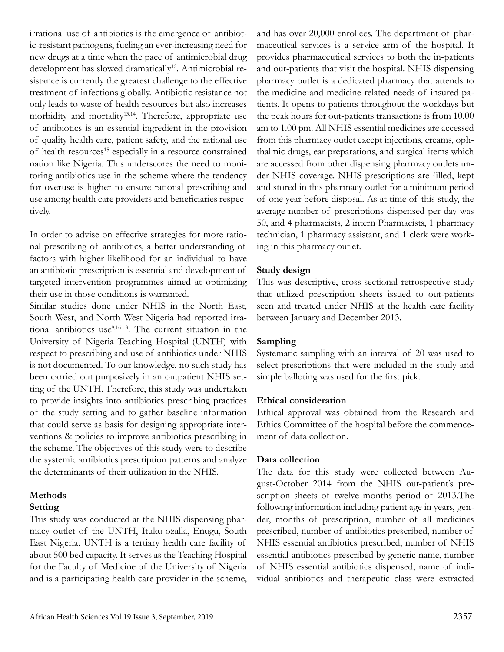irrational use of antibiotics is the emergence of antibiotic-resistant pathogens, fueling an ever-increasing need for new drugs at a time when the pace of antimicrobial drug development has slowed dramatically<sup>12</sup>. Antimicrobial resistance is currently the greatest challenge to the effective treatment of infections globally. Antibiotic resistance not only leads to waste of health resources but also increases morbidity and mortality<sup>13,14</sup>. Therefore, appropriate use of antibiotics is an essential ingredient in the provision of quality health care, patient safety, and the rational use of health resources<sup>15</sup> especially in a resource constrained nation like Nigeria. This underscores the need to monitoring antibiotics use in the scheme where the tendency for overuse is higher to ensure rational prescribing and use among health care providers and beneficiaries respectively.

In order to advise on effective strategies for more rational prescribing of antibiotics, a better understanding of factors with higher likelihood for an individual to have an antibiotic prescription is essential and development of targeted intervention programmes aimed at optimizing their use in those conditions is warranted.

Similar studies done under NHIS in the North East, South West, and North West Nigeria had reported irrational antibiotics use<sup>9,16-18</sup>. The current situation in the University of Nigeria Teaching Hospital (UNTH) with respect to prescribing and use of antibiotics under NHIS is not documented. To our knowledge, no such study has been carried out purposively in an outpatient NHIS setting of the UNTH. Therefore, this study was undertaken to provide insights into antibiotics prescribing practices of the study setting and to gather baseline information that could serve as basis for designing appropriate interventions & policies to improve antibiotics prescribing in the scheme. The objectives of this study were to describe the systemic antibiotics prescription patterns and analyze the determinants of their utilization in the NHIS.

### **Methods Setting**

This study was conducted at the NHIS dispensing pharmacy outlet of the UNTH, Ituku-ozalla, Enugu, South East Nigeria. UNTH is a tertiary health care facility of about 500 bed capacity. It serves as the Teaching Hospital for the Faculty of Medicine of the University of Nigeria and is a participating health care provider in the scheme, and has over 20,000 enrollees. The department of pharmaceutical services is a service arm of the hospital. It provides pharmaceutical services to both the in-patients and out-patients that visit the hospital. NHIS dispensing pharmacy outlet is a dedicated pharmacy that attends to the medicine and medicine related needs of insured patients. It opens to patients throughout the workdays but the peak hours for out-patients transactions is from 10.00 am to 1.00 pm. All NHIS essential medicines are accessed from this pharmacy outlet except injections, creams, ophthalmic drugs, ear preparations, and surgical items which are accessed from other dispensing pharmacy outlets under NHIS coverage. NHIS prescriptions are filled, kept and stored in this pharmacy outlet for a minimum period of one year before disposal. As at time of this study, the average number of prescriptions dispensed per day was 50, and 4 pharmacists, 2 intern Pharmacists, 1 pharmacy technician, 1 pharmacy assistant, and 1 clerk were working in this pharmacy outlet.

# **Study design**

This was descriptive, cross-sectional retrospective study that utilized prescription sheets issued to out-patients seen and treated under NHIS at the health care facility between January and December 2013.

# **Sampling**

Systematic sampling with an interval of 20 was used to select prescriptions that were included in the study and simple balloting was used for the first pick.

# **Ethical consideration**

Ethical approval was obtained from the Research and Ethics Committee of the hospital before the commencement of data collection.

# **Data collection**

The data for this study were collected between August-October 2014 from the NHIS out-patient's prescription sheets of twelve months period of 2013.The following information including patient age in years, gender, months of prescription, number of all medicines prescribed, number of antibiotics prescribed, number of NHIS essential antibiotics prescribed, number of NHIS essential antibiotics prescribed by generic name, number of NHIS essential antibiotics dispensed, name of individual antibiotics and therapeutic class were extracted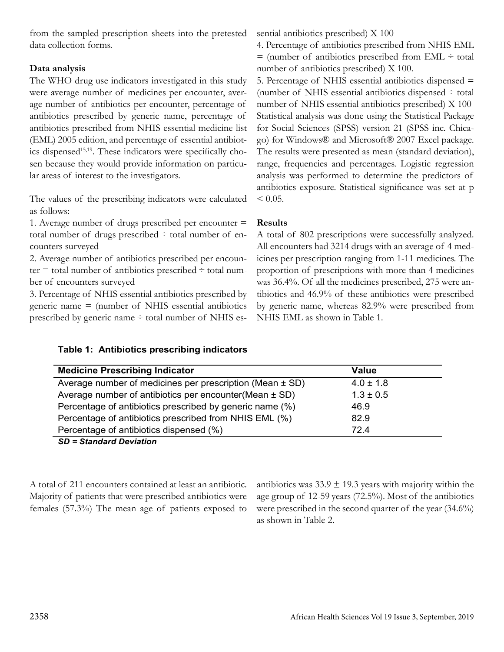from the sampled prescription sheets into the pretested data collection forms.

# **Data analysis**

The WHO drug use indicators investigated in this study were average number of medicines per encounter, average number of antibiotics per encounter, percentage of antibiotics prescribed by generic name, percentage of antibiotics prescribed from NHIS essential medicine list (EML) 2005 edition, and percentage of essential antibiotics dispensed<sup>15,19</sup>. These indicators were specifically chosen because they would provide information on particular areas of interest to the investigators.

The values of the prescribing indicators were calculated as follows:

1. Average number of drugs prescribed per encounter = total number of drugs prescribed ÷ total number of encounters surveyed

2. Average number of antibiotics prescribed per encounter  $=$  total number of antibiotics prescribed  $\div$  total number of encounters surveyed

3. Percentage of NHIS essential antibiotics prescribed by generic name = (number of NHIS essential antibiotics prescribed by generic name ÷ total number of NHIS es-

**Table 1: Antibiotics prescribing indicators**

sential antibiotics prescribed) X 100

4. Percentage of antibiotics prescribed from NHIS EML  $=$  (number of antibiotics prescribed from EML  $\div$  total number of antibiotics prescribed) X 100.

5. Percentage of NHIS essential antibiotics dispensed = (number of NHIS essential antibiotics dispensed ÷ total number of NHIS essential antibiotics prescribed) X 100 Statistical analysis was done using the Statistical Package for Social Sciences (SPSS) version 21 (SPSS inc. Chicago) for Windows® and Microsoft® 2007 Excel package. The results were presented as mean (standard deviation), range, frequencies and percentages. Logistic regression analysis was performed to determine the predictors of antibiotics exposure. Statistical significance was set at p  $< 0.05$ .

# **Results**

A total of 802 prescriptions were successfully analyzed. All encounters had 3214 drugs with an average of 4 medicines per prescription ranging from 1-11 medicines. The proportion of prescriptions with more than 4 medicines was 36.4%. Of all the medicines prescribed, 275 were antibiotics and 46.9% of these antibiotics were prescribed by generic name, whereas 82.9% were prescribed from NHIS EML as shown in Table 1.

| <b>Medicine Prescribing Indicator</b>                       | Value         |
|-------------------------------------------------------------|---------------|
| Average number of medicines per prescription (Mean ± SD)    | $4.0 \pm 1.8$ |
| Average number of antibiotics per encounter (Mean $\pm$ SD) | $1.3 \pm 0.5$ |
| Percentage of antibiotics prescribed by generic name (%)    | 46.9          |
| Percentage of antibiotics prescribed from NHIS EML (%)      | 82.9          |
| Percentage of antibiotics dispensed (%)                     | 724           |

## *SD = Standard Deviation*

A total of 211 encounters contained at least an antibiotic. Majority of patients that were prescribed antibiotics were females (57.3%) The mean age of patients exposed to antibiotics was  $33.9 \pm 19.3$  years with majority within the age group of 12-59 years (72.5%). Most of the antibiotics were prescribed in the second quarter of the year (34.6%) as shown in Table 2.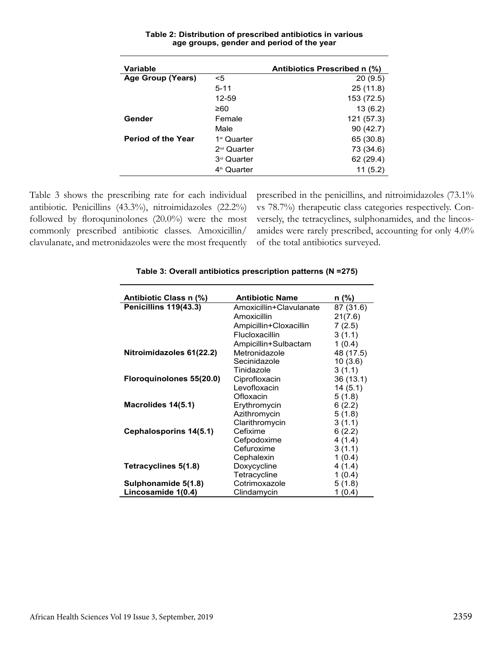| Variable                  |                         | Antibiotics Prescribed n (%) |
|---------------------------|-------------------------|------------------------------|
| <b>Age Group (Years)</b>  | <5                      | 20(9.5)                      |
|                           | $5 - 11$                | 25(11.8)                     |
|                           | 12-59                   | 153 (72.5)                   |
|                           | ≥60                     | 13(6.2)                      |
| Gender                    | Female                  | 121 (57.3)                   |
|                           | Male                    | 90(42.7)                     |
| <b>Period of the Year</b> | 1 <sup>st</sup> Quarter | 65 (30.8)                    |
|                           | 2 <sup>nd</sup> Quarter | 73 (34.6)                    |
|                           | 3 <sup>rd</sup> Quarter | 62 (29.4)                    |
|                           | 4 <sup>th</sup> Quarter | 11 (5.2)                     |

#### **Table 2: Distribution of prescribed antibiotics in various age groups, gender and period of the year**

Table 3 shows the prescribing rate for each individual antibiotic. Penicillins (43.3%), nitroimidazoles (22.2%) followed by floroquninolones (20.0%) were the most commonly prescribed antibiotic classes. Amoxicillin/ clavulanate, and metronidazoles were the most frequently prescribed in the penicillins, and nitroimidazoles (73.1% vs 78.7%) therapeutic class categories respectively. Conversely, the tetracyclines, sulphonamides, and the lincosamides were rarely prescribed, accounting for only 4.0% of the total antibiotics surveyed.

| Antibiotic Class n (%)   | <b>Antibiotic Name</b>  | n (%)     |
|--------------------------|-------------------------|-----------|
| Penicillins 119(43.3)    | Amoxicillin+Clavulanate | 87 (31.6) |
|                          | Amoxicillin             | 21(7.6)   |
|                          | Ampicillin+Cloxacillin  | 7(2.5)    |
|                          | Flucloxacillin          | 3(1.1)    |
|                          | Ampicillin+Sulbactam    | 1(0.4)    |
| Nitroimidazoles 61(22.2) | Metronidazole           | 48 (17.5) |
|                          | Secinidazole            | 10(3.6)   |
|                          | Tinidazole              | 3(1.1)    |
| Floroguinolones 55(20.0) | Ciprofloxacin           | 36 (13.1) |
|                          | Levofloxacin            | 14(5.1)   |
|                          | Ofloxacin               | 5(1.8)    |
| Macrolides 14(5.1)       | Erythromycin            | 6(2.2)    |
|                          | Azithromycin            | 5(1.8)    |
|                          | Clarithromycin          | 3(1.1)    |
| Cephalosporins 14(5.1)   | Cefixime                | 6(2.2)    |
|                          | Cefpodoxime             | 4(1.4)    |
|                          | Cefuroxime              | 3(1.1)    |
|                          | Cephalexin              | 1(0.4)    |
| Tetracyclines 5(1.8)     | Doxycycline             | 4(1.4)    |
|                          | Tetracycline            | 1(0.4)    |
| Sulphonamide 5(1.8)      | Cotrimoxazole           | 5(1.8)    |
| Lincosamide 1(0.4)       | Clindamycin             | 1(0.4)    |

#### **Table 3: Overall antibiotics prescription patterns (N =275)**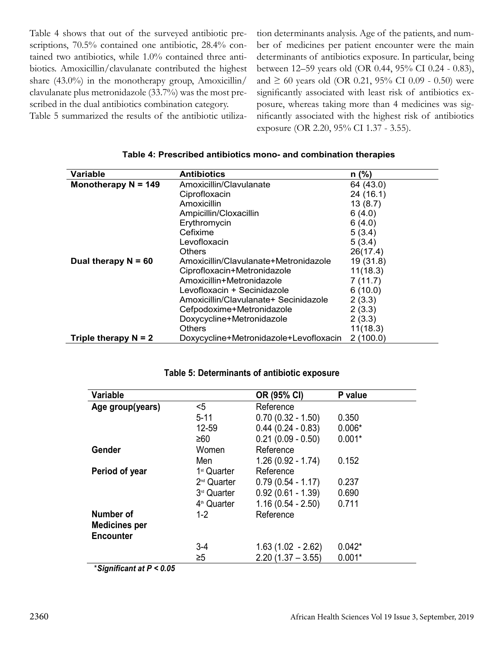Table 4 shows that out of the surveyed antibiotic prescriptions, 70.5% contained one antibiotic, 28.4% contained two antibiotics, while 1.0% contained three antibiotics. Amoxicillin/clavulanate contributed the highest share (43.0%) in the monotherapy group, Amoxicillin/ clavulanate plus metronidazole (33.7%) was the most prescribed in the dual antibiotics combination category.

Table 5 summarized the results of the antibiotic utiliza-

tion determinants analysis. Age of the patients, and number of medicines per patient encounter were the main determinants of antibiotics exposure. In particular, being between 12–59 years old (OR 0.44, 95% CI 0.24 - 0.83), and ≥ 60 years old (OR 0.21, 95% CI 0.09 - 0.50) were significantly associated with least risk of antibiotics exposure, whereas taking more than 4 medicines was significantly associated with the highest risk of antibiotics exposure (OR 2.20, 95% CI 1.37 - 3.55).

| Variable               | <b>Antibiotics</b>                     | $n$ (%)   |
|------------------------|----------------------------------------|-----------|
| Monotherapy $N = 149$  | Amoxicillin/Clavulanate                | 64 (43.0) |
|                        | Ciprofloxacin                          | 24(16.1)  |
|                        | Amoxicillin                            | 13(8.7)   |
|                        | Ampicillin/Cloxacillin                 | 6(4.0)    |
|                        | Erythromycin                           | 6(4.0)    |
|                        | Cefixime                               | 5(3.4)    |
|                        | Levofloxacin                           | 5(3.4)    |
|                        | Others                                 | 26(17.4)  |
| Dual therapy $N = 60$  | Amoxicillin/Clavulanate+Metronidazole  | 19 (31.8) |
|                        | Ciprofloxacin+Metronidazole            | 11(18.3)  |
|                        | Amoxicillin+Metronidazole              | 7(11.7)   |
|                        | Levofloxacin + Secinidazole            | 6(10.0)   |
|                        | Amoxicillin/Clavulanate+ Secinidazole  | 2(3.3)    |
|                        | Cefpodoxime+Metronidazole              | 2(3.3)    |
|                        | Doxycycline+Metronidazole              | 2(3.3)    |
|                        | Others                                 | 11(18.3)  |
| Triple therapy $N = 2$ | Doxycycline+Metronidazole+Levofloxacin | 2(100.0)  |

#### **Table 4: Prescribed antibiotics mono- and combination therapies**

| Age group(years)<br>$<$ 5<br>Reference<br>$0.70(0.32 - 1.50)$<br>$5 - 11$<br>0.350<br>$0.44(0.24 - 0.83)$<br>$0.006*$<br>12-59<br>$0.21(0.09 - 0.50)$<br>$0.001*$<br>$\geq 60$<br>Gender<br>Reference<br>Women<br>$1.26(0.92 - 1.74)$<br>0.152<br>Men<br>Reference<br>Period of year<br>1 <sup>st</sup> Quarter<br>$0.79(0.54 - 1.17)$<br>2 <sup>nd</sup> Quarter<br>0.237 | Variable |                         | OR (95% CI)         | P value |
|----------------------------------------------------------------------------------------------------------------------------------------------------------------------------------------------------------------------------------------------------------------------------------------------------------------------------------------------------------------------------|----------|-------------------------|---------------------|---------|
|                                                                                                                                                                                                                                                                                                                                                                            |          |                         |                     |         |
|                                                                                                                                                                                                                                                                                                                                                                            |          |                         |                     |         |
|                                                                                                                                                                                                                                                                                                                                                                            |          |                         |                     |         |
|                                                                                                                                                                                                                                                                                                                                                                            |          |                         |                     |         |
|                                                                                                                                                                                                                                                                                                                                                                            |          |                         |                     |         |
|                                                                                                                                                                                                                                                                                                                                                                            |          |                         |                     |         |
|                                                                                                                                                                                                                                                                                                                                                                            |          |                         |                     |         |
|                                                                                                                                                                                                                                                                                                                                                                            |          |                         |                     |         |
|                                                                                                                                                                                                                                                                                                                                                                            |          | 3 <sup>rd</sup> Quarter | $0.92(0.61 - 1.39)$ | 0.690   |
| $1.16(0.54 - 2.50)$<br>4 <sup>th</sup> Quarter<br>0.711                                                                                                                                                                                                                                                                                                                    |          |                         |                     |         |
| Reference<br>Number of<br>$1 - 2$                                                                                                                                                                                                                                                                                                                                          |          |                         |                     |         |
| <b>Medicines per</b>                                                                                                                                                                                                                                                                                                                                                       |          |                         |                     |         |
| <b>Encounter</b>                                                                                                                                                                                                                                                                                                                                                           |          |                         |                     |         |
| $1.63(1.02 - 2.62)$<br>$0.042*$<br>$3 - 4$                                                                                                                                                                                                                                                                                                                                 |          |                         |                     |         |
| $\geq 5$<br>$2.20(1.37 - 3.55)$<br>$0.001*$                                                                                                                                                                                                                                                                                                                                |          |                         |                     |         |

#### **Table 5: Determinants of antibiotic exposure**

\**Significant at P < 0.05*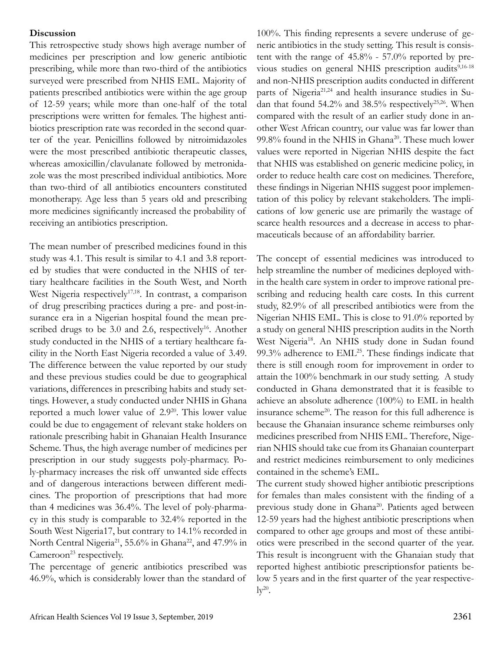#### **Discussion**

This retrospective study shows high average number of medicines per prescription and low generic antibiotic prescribing, while more than two-third of the antibiotics surveyed were prescribed from NHIS EML. Majority of patients prescribed antibiotics were within the age group of 12-59 years; while more than one-half of the total prescriptions were written for females. The highest antibiotics prescription rate was recorded in the second quarter of the year. Penicillins followed by nitroimidazoles were the most prescribed antibiotic therapeutic classes, whereas amoxicillin/clavulanate followed by metronidazole was the most prescribed individual antibiotics. More than two-third of all antibiotics encounters constituted monotherapy. Age less than 5 years old and prescribing more medicines significantly increased the probability of receiving an antibiotics prescription.

The mean number of prescribed medicines found in this study was 4.1. This result is similar to 4.1 and 3.8 reported by studies that were conducted in the NHIS of tertiary healthcare facilities in the South West, and North West Nigeria respectively<sup>17,18</sup>. In contrast, a comparison of drug prescribing practices during a pre- and post-insurance era in a Nigerian hospital found the mean prescribed drugs to be  $3.0$  and  $2.6$ , respectively<sup>16</sup>. Another study conducted in the NHIS of a tertiary healthcare facility in the North East Nigeria recorded a value of 3.49. The difference between the value reported by our study and these previous studies could be due to geographical variations, differences in prescribing habits and study settings. However, a study conducted under NHIS in Ghana reported a much lower value of 2.920. This lower value could be due to engagement of relevant stake holders on rationale prescribing habit in Ghanaian Health Insurance Scheme. Thus, the high average number of medicines per prescription in our study suggests poly-pharmacy. Poly-pharmacy increases the risk off unwanted side effects and of dangerous interactions between different medicines. The proportion of prescriptions that had more than 4 medicines was 36.4%. The level of poly-pharmacy in this study is comparable to 32.4% reported in the South West Nigeria17, but contrary to 14.1% recorded in North Central Nigeria<sup>21</sup>, 55.6% in Ghana<sup>22</sup>, and 47.9% in Cameroon<sup>23</sup> respectively.

The percentage of generic antibiotics prescribed was 46.9%, which is considerably lower than the standard of

100%. This finding represents a severe underuse of generic antibiotics in the study setting. This result is consistent with the range of 45.8% - 57.0% reported by previous studies on general NHIS prescription audits<sup>9,16-18</sup> and non-NHIS prescription audits conducted in different parts of Nigeria<sup>21,24</sup> and health insurance studies in Sudan that found 54.2% and 38.5% respectively<sup>25,26</sup>. When compared with the result of an earlier study done in another West African country, our value was far lower than 99.8% found in the NHIS in Ghana<sup>20</sup>. These much lower values were reported in Nigerian NHIS despite the fact that NHIS was established on generic medicine policy, in order to reduce health care cost on medicines. Therefore, these findings in Nigerian NHIS suggest poor implementation of this policy by relevant stakeholders. The implications of low generic use are primarily the wastage of scarce health resources and a decrease in access to pharmaceuticals because of an affordability barrier.

The concept of essential medicines was introduced to help streamline the number of medicines deployed within the health care system in order to improve rational prescribing and reducing health care costs. In this current study, 82.9% of all prescribed antibiotics were from the Nigerian NHIS EML. This is close to 91.0% reported by a study on general NHIS prescription audits in the North West Nigeria<sup>18</sup>. An NHIS study done in Sudan found  $99.3\%$  adherence to  $\text{EML}^{25}$ . These findings indicate that there is still enough room for improvement in order to attain the 100% benchmark in our study setting. A study conducted in Ghana demonstrated that it is feasible to achieve an absolute adherence (100%) to EML in health insurance scheme<sup>20</sup>. The reason for this full adherence is because the Ghanaian insurance scheme reimburses only medicines prescribed from NHIS EML. Therefore, Nigerian NHIS should take cue from its Ghanaian counterpart and restrict medicines reimbursement to only medicines contained in the scheme's EML.

The current study showed higher antibiotic prescriptions for females than males consistent with the finding of a previous study done in Ghana<sup>20</sup>. Patients aged between 12-59 years had the highest antibiotic prescriptions when compared to other age groups and most of these antibiotics were prescribed in the second quarter of the year. This result is incongruent with the Ghanaian study that reported highest antibiotic prescriptionsfor patients below 5 years and in the first quarter of the year respective- $\mathrm{lv}^{20}$ .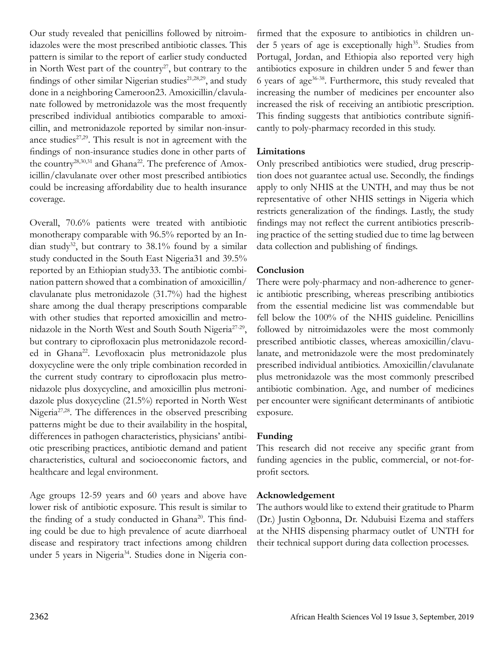Our study revealed that penicillins followed by nitroimidazoles were the most prescribed antibiotic classes. This pattern is similar to the report of earlier study conducted in North West part of the country<sup>27</sup>, but contrary to the findings of other similar Nigerian studies<sup>21,28,29</sup>, and study done in a neighboring Cameroon23. Amoxicillin/clavulanate followed by metronidazole was the most frequently prescribed individual antibiotics comparable to amoxicillin, and metronidazole reported by similar non-insurance studies $27,29$ . This result is not in agreement with the findings of non-insurance studies done in other parts of the country<sup>28,30,31</sup> and Ghana<sup>22</sup>. The preference of Amoxicillin/clavulanate over other most prescribed antibiotics could be increasing affordability due to health insurance coverage.

Overall, 70.6% patients were treated with antibiotic monotherapy comparable with 96.5% reported by an Indian study<sup>32</sup>, but contrary to  $38.1\%$  found by a similar study conducted in the South East Nigeria31 and 39.5% reported by an Ethiopian study33. The antibiotic combination pattern showed that a combination of amoxicillin/ clavulanate plus metronidazole (31.7%) had the highest share among the dual therapy prescriptions comparable with other studies that reported amoxicillin and metronidazole in the North West and South South Nigeria27-29, but contrary to ciprofloxacin plus metronidazole recorded in Ghana<sup>22</sup>. Levofloxacin plus metronidazole plus doxycycline were the only triple combination recorded in the current study contrary to ciprofloxacin plus metronidazole plus doxycycline, and amoxicillin plus metronidazole plus doxycycline (21.5%) reported in North West Nigeria<sup>27,28</sup>. The differences in the observed prescribing patterns might be due to their availability in the hospital, differences in pathogen characteristics, physicians' antibiotic prescribing practices, antibiotic demand and patient characteristics, cultural and socioeconomic factors, and healthcare and legal environment.

Age groups 12-59 years and 60 years and above have lower risk of antibiotic exposure. This result is similar to the finding of a study conducted in Ghana<sup>20</sup>. This finding could be due to high prevalence of acute diarrhoeal disease and respiratory tract infections among children under 5 years in Nigeria<sup>34</sup>. Studies done in Nigeria confirmed that the exposure to antibiotics in children under 5 years of age is exceptionally high<sup>35</sup>. Studies from Portugal, Jordan, and Ethiopia also reported very high antibiotics exposure in children under 5 and fewer than 6 years of age36-38. Furthermore, this study revealed that increasing the number of medicines per encounter also increased the risk of receiving an antibiotic prescription. This finding suggests that antibiotics contribute significantly to poly-pharmacy recorded in this study.

# **Limitations**

Only prescribed antibiotics were studied, drug prescription does not guarantee actual use. Secondly, the findings apply to only NHIS at the UNTH, and may thus be not representative of other NHIS settings in Nigeria which restricts generalization of the findings. Lastly, the study findings may not reflect the current antibiotics prescribing practice of the setting studied due to time lag between data collection and publishing of findings.

# **Conclusion**

There were poly-pharmacy and non-adherence to generic antibiotic prescribing, whereas prescribing antibiotics from the essential medicine list was commendable but fell below the 100% of the NHIS guideline. Penicillins followed by nitroimidazoles were the most commonly prescribed antibiotic classes, whereas amoxicillin/clavulanate, and metronidazole were the most predominately prescribed individual antibiotics. Amoxicillin/clavulanate plus metronidazole was the most commonly prescribed antibiotic combination. Age, and number of medicines per encounter were significant determinants of antibiotic exposure.

## **Funding**

This research did not receive any specific grant from funding agencies in the public, commercial, or not-forprofit sectors.

## **Acknowledgement**

The authors would like to extend their gratitude to Pharm (Dr.) Justin Ogbonna, Dr. Ndubuisi Ezema and staffers at the NHIS dispensing pharmacy outlet of UNTH for their technical support during data collection processes.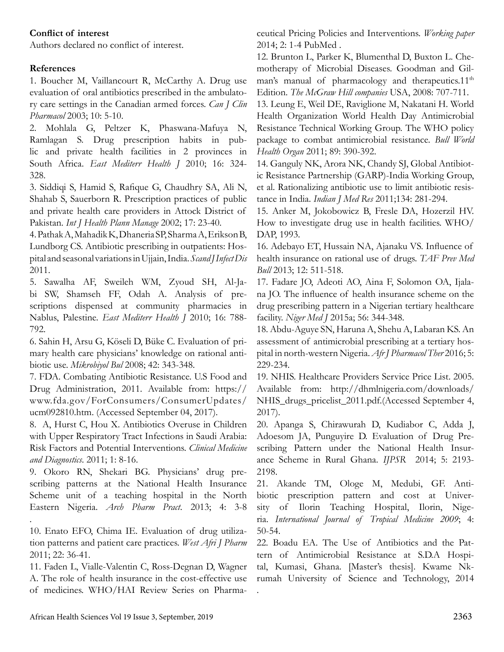## **Conflict of interest**

Authors declared no conflict of interest.

## **References**

1. Boucher M, Vaillancourt R, McCarthy A. Drug use evaluation of oral antibiotics prescribed in the ambulatory care settings in the Canadian armed forces. *Can J Clin Pharmacol* 2003; 10: 5-10.

2. Mohlala G, Peltzer K, Phaswana-Mafuya N, Ramlagan S. Drug prescription habits in public and private health facilities in 2 provinces in South Africa. *East Mediterr Health J* 2010; 16: 324- 328.

3. Siddiqi S, Hamid S, Rafique G, Chaudhry SA, Ali N, Shahab S, Sauerborn R. Prescription practices of public and private health care providers in Attock District of Pakistan. *Int J Health Plann Manage* 2002; 17: 23-40.

4. Pathak A, Mahadik K, Dhaneria SP, Sharma A, Erikson B, Lundborg CS. Antibiotic prescribing in outpatients: Hospital and seasonal variations in Ujjain, India. *Scand J Infect Dis* 2011.

5. Sawalha AF, Sweileh WM, Zyoud SH, Al-Jabi SW, Shamseh FF, Odah A. Analysis of prescriptions dispensed at community pharmacies in Nablus, Palestine. *East Mediterr Health J* 2010; 16: 788- 792.

6. Sahin H, Arsu G, Köseli D, Büke C. Evaluation of primary health care physicians' knowledge on rational antibiotic use. *Mikrobiyol Bul* 2008; 42: 343-348.

7. FDA. Combating Antibiotic Resistance. U.S Food and Drug Administration, 2011. Available from: https:// www.fda.gov/ForConsumers/ConsumerUpdates/ ucm092810.htm. (Accessed September 04, 2017).

8. A, Hurst C, Hou X. Antibiotics Overuse in Children with Upper Respiratory Tract Infections in Saudi Arabia: Risk Factors and Potential Interventions. *Clinical Medicine and Diagnostics*. 2011; 1: 8-16.

9. Okoro RN, Shekari BG. Physicians' drug prescribing patterns at the National Health Insurance Scheme unit of a teaching hospital in the North Eastern Nigeria. *Arch Pharm Pract*. 2013; 4: 3-8

10. Enato EFO, Chima IE. Evaluation of drug utilization patterns and patient care practices. *West Afri J Pharm* 2011; 22: 36-41.

11. Faden L, Vialle-Valentin C, Ross-Degnan D, Wagner A. The role of health insurance in the cost-effective use of medicines. WHO/HAI Review Series on Pharmaceutical Pricing Policies and Interventions. *Working paper*  2014; 2: 1-4 PubMed .

12. Brunton L, Parker K, Blumenthal D, Buxton L. Chemotherapy of Microbial Diseases. Goodman and Gilman's manual of pharmacology and therapeutics. $11<sup>th</sup>$ Edition. *The McGraw Hill companies* USA, 2008: 707-711.

13. Leung E, Weil DE, Raviglione M, Nakatani H. World Health Organization World Health Day Antimicrobial Resistance Technical Working Group. The WHO policy package to combat antimicrobial resistance. *Bull World Health Organ* 2011; 89: 390-392.

14. Ganguly NK, Arora NK, Chandy SJ, Global Antibiotic Resistance Partnership (GARP)-India Working Group, et al. Rationalizing antibiotic use to limit antibiotic resistance in India. *Indian J Med Res* 2011;134: 281-294.

15. Anker M, Jokobowicz B, Fresle DA, Hozerzil HV. How to investigate drug use in health facilities. WHO/ DAP, 1993.

16. Adebayo ET, Hussain NA, Ajanaku VS. Influence of health insurance on rational use of drugs. *TAF Prev Med Bull* 2013; 12: 511-518.

17. Fadare JO, Adeoti AO, Aina F, Solomon OA, Ijalana JO. The influence of health insurance scheme on the drug prescribing pattern in a Nigerian tertiary healthcare facility. *Niger Med J* 2015a; 56: 344-348.

18. Abdu-Aguye SN, Haruna A, Shehu A, Labaran KS. An assessment of antimicrobial prescribing at a tertiary hospital in north-western Nigeria. *Afr J Pharmacol Ther* 2016; 5: 229-234.

19. NHIS. Healthcare Providers Service Price List. 2005. Available from: http://dhmlnigeria.com/downloads/ NHIS\_drugs\_pricelist\_2011.pdf.(Accessed September 4, 2017).

20. Apanga S, Chirawurah D, Kudiabor C, Adda J, Adoesom JA, Punguyire D. Evaluation of Drug Prescribing Pattern under the National Health Insurance Scheme in Rural Ghana. *IJPSR* 2014; 5: 2193- 2198.

21. Akande TM, Ologe M, Medubi, GF. Antibiotic prescription pattern and cost at University of Ilorin Teaching Hospital, Ilorin, Nigeria. *International Journal of Tropical Medicine 2009*; 4: 50-54.

22. Boadu EA. The Use of Antibiotics and the Pattern of Antimicrobial Resistance at S.D.A Hospital, Kumasi, Ghana. [Master's thesis]. Kwame Nkrumah University of Science and Technology, 2014 .

.